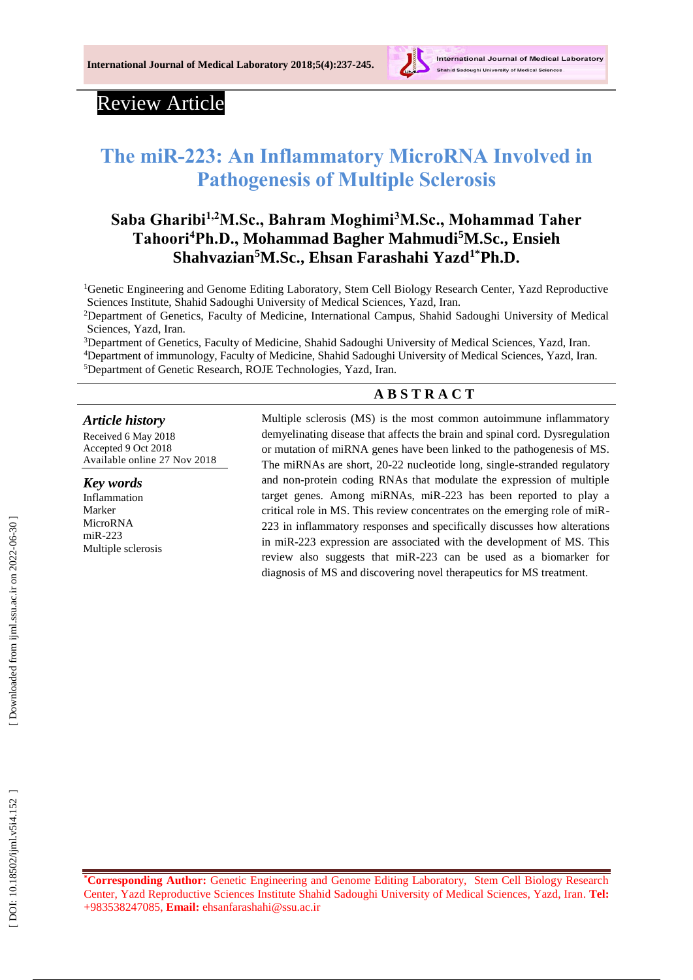

## Review Article

# **The miR -223: An Inflammatory MicroRNA Involved in Pathogenesis of Multiple Sclerosis**

## **Saba Gharibi 1,2M.Sc., Bahram Moghimi <sup>3</sup>M.Sc., Mohammad Taher Tahoori <sup>4</sup>Ph.D., Mohammad Bagher Mahmudi <sup>5</sup>M.Sc., Ensieh Shahvazian <sup>5</sup>M.Sc., Ehsan Farashahi Yazd1\*Ph.D.**

<sup>1</sup>Genetic Engineering and Genome Editing Laboratory, Stem Cell Biology Research Center, Yazd Reproductive Sciences Institute, Shahid Sadoughi University of Medical Sciences, Yazd, Iran.

<sup>2</sup>Department of Genetics, Faculty of Medicine, International Campus, Shahid Sadoughi University of Medical Sciences, Yazd, Iran.

3Department of Genetics, Faculty of Medicine, Shahid Sadoughi University of Medical Sciences, Yazd, Iran. <sup>4</sup>Department of immunology, Faculty of Medicine, Shahid Sadoughi University of Medical Sciences, Yazd, Iran. <sup>5</sup>Department of Genetic Research, ROJE Technologies, Yazd, Iran.

## **A B S T R A C T**

#### *Article history*

Received 6 May 201 8 Accepted 9 Oct 201 8 Available online 27 Nov 201 8

#### *Key words*

Inflammation Marker MicroRNA miR -223 Multiple sclerosis Multiple sclerosis (MS) is the most common autoimmune inflammatory demyelinating disease that affects the brain and spinal cord. Dysregulation or mutation of miRNA genes have been linked to the pathogenesis of MS. The miRNAs are short, 20 -22 nucleotide long, single -stranded regulatory and non -protein coding RNAs that modulate the expression of multiple target genes. Among miRNAs, miR -223 has been reported to play a critical role in MS. This review concentrates on the emerging role of miR - 223 in inflammatory responses and specifically discusses how alterations in miR -223 expression are associated with the development of MS. This review also suggests that miR -223 can be used as a biomarker for diagnosis of MS and discovering novel therapeutics for MS treatment.

**\*Corresponding Author:** Genetic Engineering and Genome Editing Laboratory, Stem Cell Biology Research Center, Yazd Reproductive Sciences Institute Shahid Sadoughi University of Medical Sciences, Yazd, Iran. **Tel:** +983538247085, **Email:** ehsanfarashahi@ssu.ac.i r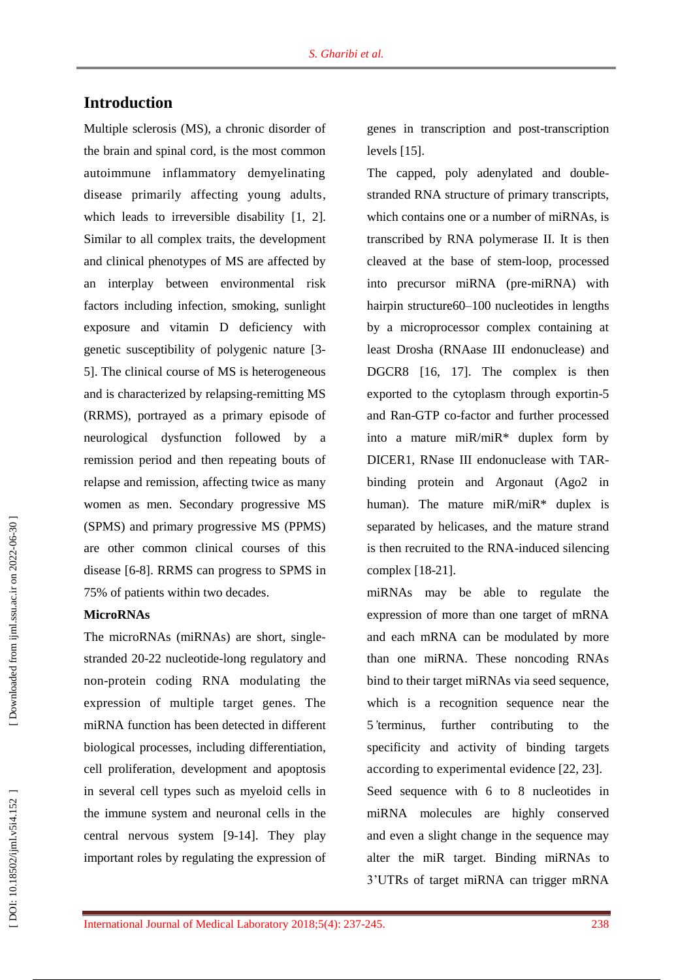## **Introduction**

Multiple sclerosis (MS), a chronic disorder of the brain and spinal cord, is the most common autoimmune inflammatory demyelinating disease primarily affecting young adults, which leads to irreversible disability [1, 2]. Similar to all complex traits, the development and clinical phenotypes of MS are affected by an interplay between environmental risk factors including infection, smoking, sunlight exposure and vitamin D deficiency with genetic susceptibility of polygenic nature [ 3 - 5 ]. The clinical course of MS is heterogeneous and is characterized by relapsing -remitting MS (RRMS), portrayed as a primary episode of neurological dysfunction followed by a remission period and then repeating bouts of relapse and remission, affecting twice as many women as men. Secondary progressive MS (SPMS) and primary progressive MS (PPMS) are other common clinical courses of this disease [ 6 - 8 ]. RRMS can progress to SPMS in 75% of patients within two decades.

#### **MicroRNAs**

The microRNAs (miRNAs) are short, singlestranded 20 -22 nucleotide -long regulatory and non -protein coding RNA modulating the expression of multiple target genes. The miRNA function has been detected in different biological processes, including differentiation, cell proliferation, development and apoptosis in several cell types such as myeloid cells in the immune system and neuronal cells in the central nervous system [ 9 -14 ]. They play important roles by regulating the expression of

genes in transcription and post -transcription levels [15 ] .

The capped, poly adenylated and doublestranded RNA structure of primary transcripts, which contains one or a number of miRNAs, is transcribed by RNA polymerase II. It is then cleaved at the base of stem -loop, processed into precursor miRNA (pre -miRNA) with hairpin structure60 –100 nucleotides in lengths by a microprocessor complex containing at least Drosha (RNAase III endonuclease) and DGCR8 [16, 17 ]. The complex is then exported to the cytoplasm through exportin -5 and Ran -GTP co -factor and further processed into a mature miR/miR\* duplex form by DICER1, RNase III endonuclease with TAR binding protein and Argonaut (Ago2 in human). The mature miR/miR<sup>\*</sup> duplex is separated by helicases, and the mature strand is then recruited to the RNA -induced silencing complex [18 -21 ].

miRNAs may be able to regulate the expression of more than one target of mRNA and each mRNA can be modulated by more than one miRNA. These noncoding RNAs bind to their target m iRNAs via seed sequence, which is a recognition sequence near the 5<sup>'</sup>terminus, further contributing to the specificity and activity of binding targets according to experimental evidence [22, 23 ].

Seed sequence with 6 to 8 nucleotides in miRNA molecules are highly conserved and even a slight change in the sequence may alter the miR target. Binding miRNAs to 3'UTRs of target miRNA can trigger mRNA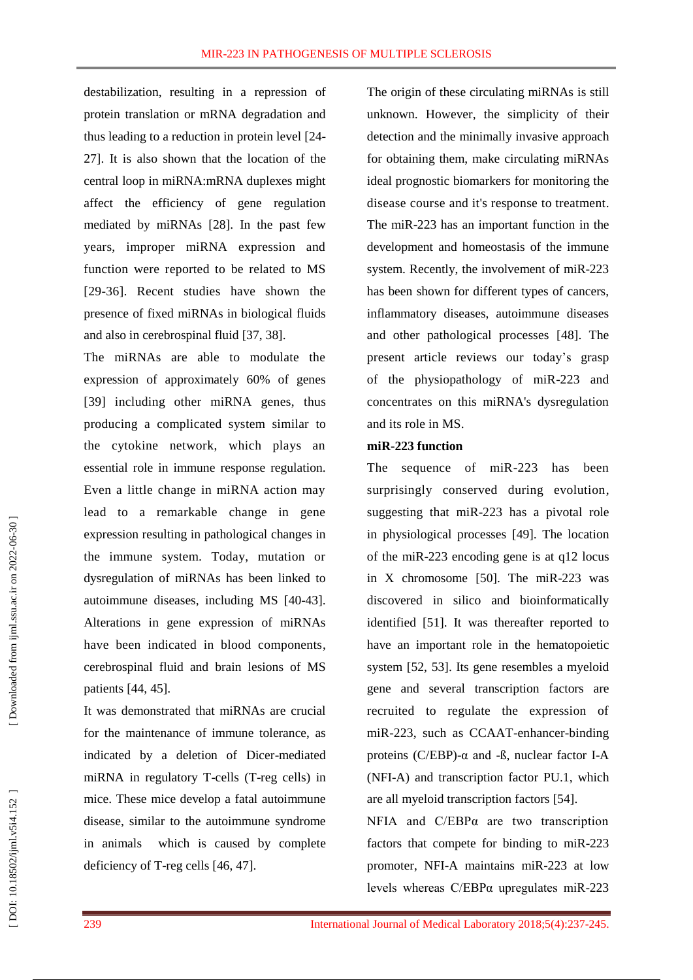destabilization, resulting in a repression of protein translation or mRNA degradation and thus leading to a reduction in protein level [24 - 27 ]. It is also shown that the location of the central loop in miRNA:mRNA duplexes might affect the efficiency of gene regulation mediated by miRNAs [28 ]. In the past few years, improper miRNA expression and function were reported to be related to MS [29-36]. Recent studies have shown the presence of fixed miRNAs in biological fluids and also in cerebrospinal fluid [37, 38 ] .

The miRNAs are able to modulate the expression of approximately 60% of genes [39] including other miRNA genes, thus producing a complicated system similar to the cytokine network, which plays an essential role in immune response regulation. Even a little change in miRNA action may lead to a remarkable change in gene expression resulting in pathological changes in the immune system. Today, mutation or dysregulation of miRNAs has been linked to autoimmune diseases, including MS [40 -43 ]. Alterations in gene expression of miRNAs have been indicated in blood components, cerebrospinal fluid and brain lesions of MS patients [44, 45 ] .

It was demonstrated that miRNAs are crucial for the maintenance of immune tolerance, as indicated by a deletion of Dicer -mediated miRNA in regulatory T -cells (T -reg cells) in mice. These mice develop a fatal autoimmune disease, similar to the autoimmune syndrome in animals which is caused by complete deficiency of T-reg cells [46, 47].

The origin of these circulating miRNAs is still unknown. However, the simplicity of their detection and the minimally invasive approach for obtaining them, make circulating miRNAs ideal prognostic biomarkers for monitoring the disease course and it's response to treatment. The miR -223 has an important function in the development and homeostasis of the immune system. Recently, the involvement of miR -223 has been shown for different types of cancers, inflammatory diseases, autoimmune diseases and other pathological processes [48 ]. The present article reviews our today's grasp of the physiopathology of miR -223 and concentrates on this miRNA's dysregulation and it s role in MS.

#### **miR -223 function**

The sequence of miR -223 has been surprisingly conserved during evolution, suggesting that miR -223 has a pivotal role in physiological processes [49 ]. The location of the miR -223 encoding gene is at q12 locus in X chromosome [50 ] . The miR -223 was discovered in silico and bioinformatically identified [51 ]. It was thereafter reported to have an important role in the hematopoietic system [52, 53 ]. Its gene resembles a myeloid gene and several transcription factors are recruited to regulate the expression of miR -223, such as CCAAT -enhancer -binding proteins ( $C/EBP$ )- $\alpha$  and - $\beta$ , nuclear factor I-A (NFI -A) and transcription factor PU.1, which are all myeloid transcription factors [54 ] .

NFIA and C/EBPα are two transcription factors that compete for binding to miR -223 promoter, NFI - A maintains miR -223 at low levels whereas C/EBPα upregulates miR-223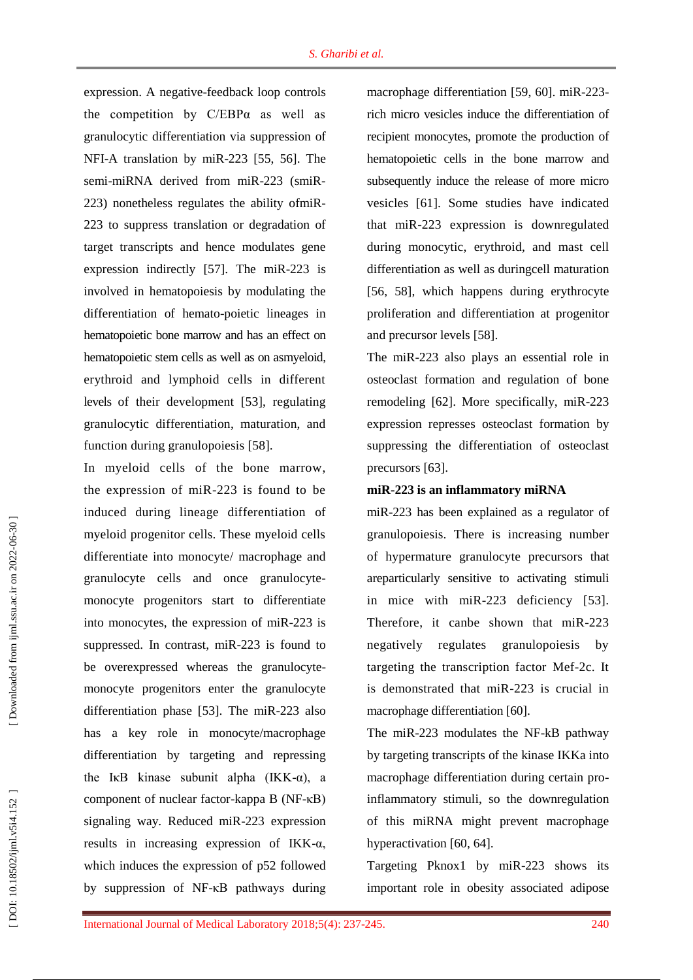expression. A negative -feedback loop controls the competition by  $C/EBP\alpha$  as well as granulocytic differentiation via suppression of NFI -A translation by miR -223 [55, 56 ]. The semi-miRNA derived from miR-223 (smiR-223) nonetheless regulates the ability ofmiR - 223 to suppress translation or degradation of target transcripts and hence modulates gene expression indirectly [57]. The miR-223 is involved in hematopoiesis by modulating the differentiation of hemato -poietic lineages in hematopoietic bone marrow and has an effect on hematopoietic stem cells as well as on asmyeloid, erythroid and lymphoid cells in different levels of their development [53 ], regulating granulocytic differentiation, maturation, and function during [granulopoiesis](https://en.wikipedia.org/wiki/Granulopoiesis) [58].

In myeloid cells of the bone marrow, the expression of miR -223 is found to be induced during lineage differentiation of myeloid progenitor cells. These myeloid cells differentiate into monocyte / macrophage and granulocyte cells and once granulocyte monocyte progenitors start to differentiate into monocytes, the expression of miR -223 is suppressed. In contrast, miR -223 is found to be overexpressed whereas the granulocyte monocyte progenitors enter the granulocyte differentiation phase [53 ]. The miR -223 also has a key role in monocyte/macrophage differentiation by targeting and repressing the IKB kinase subunit alpha  $(IKK-\alpha)$ , a component of nuclear factor -kappa B (NF -κB) signaling way. Reduced miR -223 expression results in increasing expression of IKK -α, which induces the expression of p52 followed by suppression of NF -κB pathways during macrophage differentiation [59, 60 ]. miR -223 rich micro vesicles induce the differentiation of recipient monocytes, promote the production of hematopoietic cell s in the bone marrow and subsequently induce the release of more micro vesicles [61]. Some studies have indicated that miR -223 expression is downregulated during [monocytic](https://en.wikipedia.org/wiki/Monocytic) , [erythroid,](https://en.wikipedia.org/wiki/Erythroid) and [mast cell](https://en.wikipedia.org/wiki/Mast_cell) differentiation as well as duringcell maturation [56, 58], which happens during erythrocyte proliferation and differentiation at progenitor and precursor levels [58 ].

The miR -223 also plays an essential role in osteoclast formation and regulation of bone remodeling [62 ] . More specifically, miR -223 expression represses osteoclast formation by suppressing the differentiation of osteoclast precursors [63].

#### **miR -223 is an inflammatory miRNA**

miR -223 has been explained as a regulator of granulopoiesis. There is increasing number of hypermature granulocyte precursors that areparticularly sensitive to activating stimuli in mice with miR-223 deficiency [53]. Therefore, it canbe shown that miR -223 negatively regulates granulopoiesis by targeting the transcription factor Mef -2c. It is demonstrated that miR -223 is crucial in macrophage differentiation [60 ] .

The miR-223 modulates the NF-kB pathway by targeting transcripts of the kinase IKKa into macrophage differentiation during certain pro inflammatory stimuli, so the downregulation of this miRNA might prevent macrophage hyperactivation [60, 64].

Targeting Pknox1 by miR -223 shows its important role in obesity associated adipose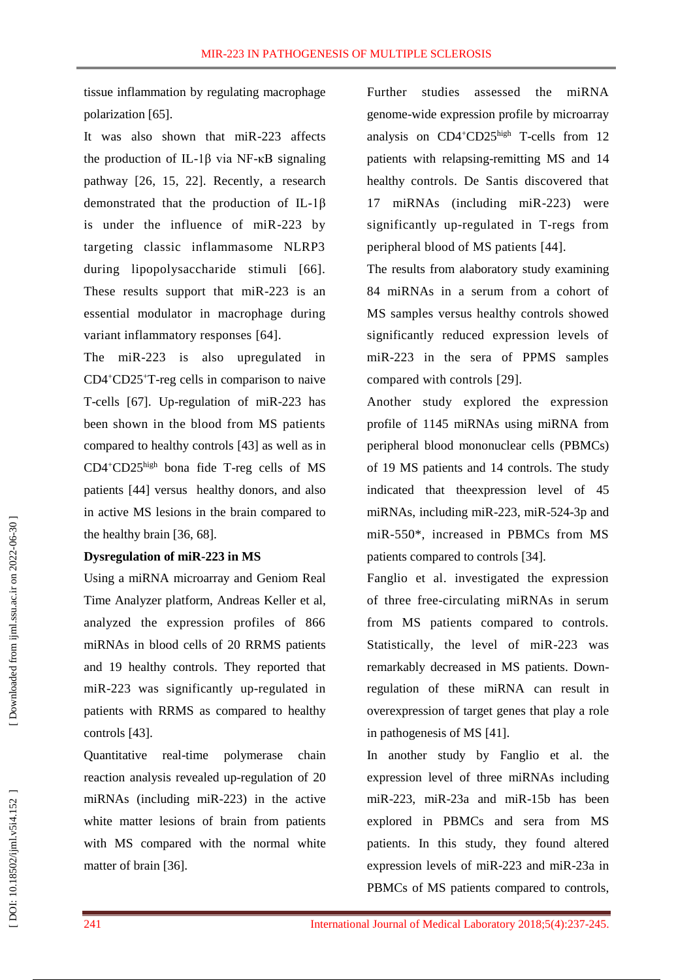tissue inflammation by regulating macrophage polarization [65 ] .

It was also shown that miR -223 affects the production of IL -1β via NF -κB signaling pathway [26, 15, 22]. Recently, a research demonstrated that the production of IL -1β is under the influence of miR -223 by targeting classic inflammasome NLRP3 during lipopolysaccharide stimuli [66]. These results support that miR-223 is an essential modulator in macrophage during variant inflammatory responses [64 ] .

The miR -223 is also upregulated in CD4 <sup>+</sup>CD25 + T -reg cells in comparison to naive T-cells [67]. Up-regulation of miR-223 has been shown in the blood from MS patients compared to healthy controls [43 ] as well as in CD4 <sup>+</sup>CD25high bona fide T -reg cells of MS patients [44 ] versus healthy donors, and also in active MS lesions in the brain compared to the healthy brain [36, 68 ] .

#### **Dysregulation of miR -223 in MS**

Using a miRNA microarray and Geniom Real Time Analyzer platform, Andreas Keller et al, analyzed the expression profiles of 866 miRNAs in blood cells of 20 RRMS patients and 19 healthy controls. They reported that miR -223 was significantly up -regulated in patients with RRMS as compared to healthy controls [43 ].

Quantitative real -time [polymerase chain](https://www.youtube.com/watch?v=vi7MeqD2_FY)  [reaction](https://www.youtube.com/watch?v=vi7MeqD2_FY) analysis revealed up -regulation of 20 miRNAs (including miR -223) in the active white matter lesions of brain from patients with MS compared with the normal white matter of brain [36 ] .

Further studies assessed the miRNA genome -wide expression profile by microarray analysis on CD4<sup>+</sup>CD25<sup>high</sup> T-cells from 12 patients with relapsing-remitting MS and 14 healthy controls. De Santis discovered that 17 miRNAs (including miR -223) were significantly up -regulated in T -regs from peripheral blood of MS patients [44 ] .

The results from alaboratory study examining 84 miRNAs in a serum from a cohort of MS samples versus healthy controls showed significantly reduced expression levels of miR -223 in the sera of PPMS samples compared with controls [29 ] .

Another study explored the expression profile of 1145 miRNAs using miRNA from peripheral blood mononuclear cells (PBMCs) of 19 MS patients and 14 controls. The study indicated that theexpression level of 45 miRNAs, including miR-223, miR-524-3p and miR -550\*, increased in PBMCs from MS patients compared to controls [34 ] .

Fanglio et al . investigated the expression of three free -circulating miRNAs in serum from MS patients compared to controls. Statistically, the level of miR -223 was remarkably decreased in MS patients. Down regulation of these miRNA can result in overexpression of target genes that play a role in pathogenesis of MS [41 ] .

In another study by Fanglio et al . the expression level of three miRNAs including miR -223, miR -23a and miR -15b has been explored in PBMCs and sera from MS patients. In this study, they found altered expression levels of miR -223 and mi R -23a in PBMCs of MS patients compared to controls,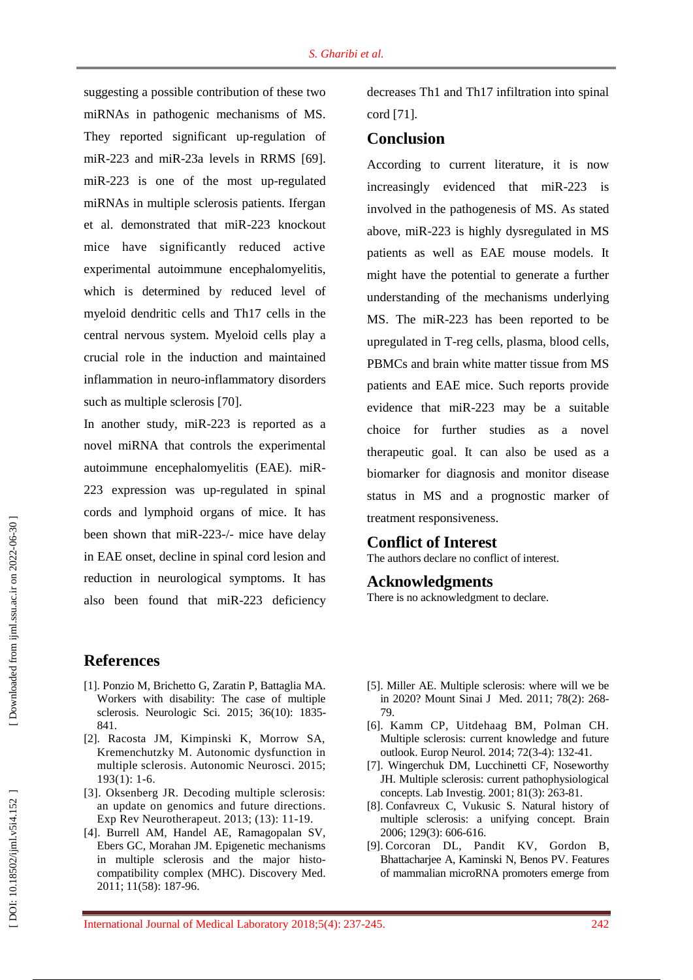suggesting a possible contribution of these two miRNAs in pathogenic mechanisms of MS. They reported significant up-regulation of miR-223 and miR-23a levels in RRMS [69]. miR-223 is one of the most up-regulated miRNAs in multiple sclerosis patients. Ifergan et al. demonstrated that miR -223 knockout mice have significantly reduced active experimental autoimmune encephalomyelitis, which is determined by reduced level of myeloid dendritic cells and Th17 cells in the central nervous system. Myeloid cells play a crucial role in the induction and maintained inflammation in neuro -inflammatory disorders such as multiple sclerosis [70 ] .

In another study, miR -223 is reported as a novel miRNA that controls the experimental autoimmune encephalomyelitis (EAE). miR - 223 expression was up -regulated in spinal cords and lymphoid organs of mice. It has been shown that miR-223-/- mice have delay in EAE onset, decline in spinal cord lesion and reduction in neurological symptoms. It has also been found that miR -223 deficiency

### **References**

- [1] . Ponzio M, Brichetto G, Zaratin P, Battaglia MA . Workers with disability: The case of multiple sclerosis . Neurologic Sci . 2015; 36(10): 1835 - 841.
- [2] . Racosta JM, Kimpinski K, Morrow SA, Kremenchutzky M . Autonomic dysfunction in multiple sclerosis . Autonomic Neurosci . 2015; 193( 1 ) : 1 -6.
- [3] . Oksenberg JR . Decoding multiple sclerosis: an update on genomics and future directions . Exp Rev Neurotherapeut . 2013; (13 ) : 11 -19.
- [4] . Burrell AM, Handel AE, Ramagopalan SV, Ebers GC, Morahan JM . Epigenetic mechanisms in multiple sclerosis and the major histo compatibility complex (MHC) . Discovery Med . 2011; 11(58) : 187 -96.

decreases Th1 and Th17 infiltration into spinal cord [71 ] .

## **Conclusion**

According to current literature, it is now increasingly evidenced that miR -223 is involved in the pathogenesis of MS. As stated above, miR -223 is highly dysregulated in MS patients as well as EAE mouse models. It might have the potential to generate a further understanding of the mechanisms underlying MS. The miR -223 has been reported to be upregulated in T -reg cells, plasma, blood cells, PBMCs and brain white matter tissue from MS patients and EAE mice. Such reports provide evidence that miR -223 may be a suitable choice for further studies as a novel therapeutic goal. It can also be used as a biomarker for diagnosis and monitor disease status in MS and a prognostic marker of treatment responsiveness.

### **Conflict of Interest**

The authors declare no conflict of interest.

#### **Acknowledgments**

There is no acknowledgment to declare .

- [5] . Miller AE . Multiple sclerosis: where will we be in 2020? Mount Sinai J Med . 2011; 78(2): 268 - 79.
- [6] . Kamm CP, Uitdehaag BM, Polman CH . Multiple sclerosis: current knowledge and future outlook . Europ Neuro l . 2014; 72(3 -4): 132 -41.
- [7] . Wingerchuk DM, Lucchinetti CF, Noseworthy JH . Multiple sclerosis: current pathophysiological concepts . Lab Investig . 2001; 81(3) : 263 -81.
- [8] . Confavreux C, Vukusic S. Natural history of multiple sclerosis: a unifying concept . Brain 2006; 129(3) : 606 -616.
- [9] . Corcoran DL, Pandit KV, Gordon B, Bhattacharjee A, Kaminski N, Benos PV . Features of mammalian microRNA promoters emerge from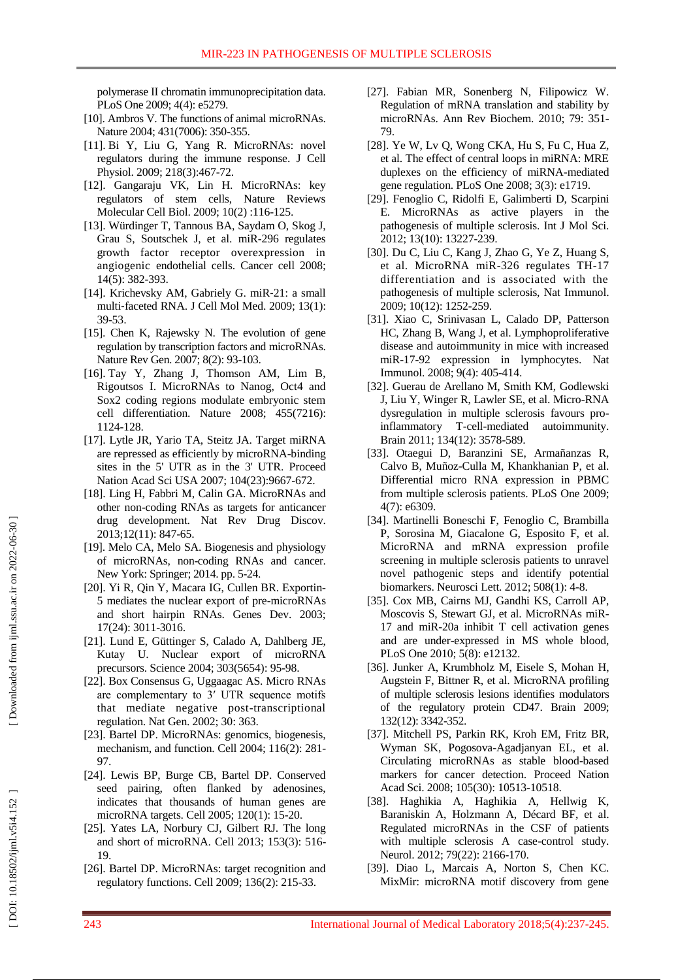polymerase II chromatin immunoprecipitation data . PLoS One 2009; 4(4): e5279.

- [10]. Ambros V. The functions of animal microRNAs. Nature 2004; 431(7006): 350-355.
- [11] . Bi Y, Liu G, Yang R . MicroRNAs: novel regulators during the immune response . J Ce ll Physiol. 2009; 218(3):467-72.
- [12] . Gangaraju VK, Lin H . MicroRNAs: key regulators of stem cells, Nature Reviews Molecular Cell Biol . 2009; 10(2) :116 -125.
- [13] . Würdinger T, Tannous BA, Saydam O, Skog J, Grau S, Soutschek J, et al. miR -296 regulates growth factor receptor overexpression in angiogenic endothelial cells . Cancer cell 2008; 14(5): 382 -393.
- [14]. Krichevsky AM, Gabriely G. miR-21: a small multi ‐faceted RNA . J Cell Mol Med . 2009; 13(1) : 39 -53.
- [15 ] . Chen K, Rajewsky N . The evolution of gene regulation by transcription factors and microRNAs . Nature Rev Gen. 2007; 8(2): 93-103.
- [16] . Tay Y, Zhang J, Thomson AM, Lim B, Rigoutsos I . MicroRNAs to Nanog, Oct4 and Sox2 coding regions modulate embryonic stem cell differentiation . Nature 2008; 455(7216) : 1124 -128.
- [17] . Lytle JR, Yario TA, Steitz JA . Target miRNA are repressed as efficiently by microRNA -binding sites in the 5' UTR as in the 3' UTR . Proceed Nation Acad Sci USA 2007; 104(23):9667-672.
- [18] . Ling H, Fabbri M, Calin GA . MicroRNAs and other non -coding RNAs as targets for anticancer drug development . Nat Rev Drug Discov . 2013 ;12(11) : 847 -65.
- [19] . Melo CA, Melo SA . Biogenesis and physiology of microRNAs, non -coding RNAs and cancer. New York: Springer ; 2014 . pp. 5 -24.
- [20] . Yi R, Qin Y, Macara IG, Cullen BR. Exportin 5 mediates the nuclear export of pre -microRNAs and short hairpin RNAs . Genes Dev . 2003; 17(24): 3011 -3016.
- [21] . Lund E, Güttinger S, Calado A, Dahlberg JE, Kutay U . Nuclear export of microRNA precursors . Science 2004; 303(5654) : 95 -98.
- [22] . Box Consensus G , Uggaagac AS . Micro RNAs are complementary to 3′ UTR sequence motifs that mediate negative post -transcriptional regulation . Nat Gen . 2002; 30 : 363.
- [23] . Bartel DP . MicroRNAs: genomics, biogenesis, mechanism, and function . Cell 2004; 116(2) : 281 - 97.
- [24] . Lewis BP, Burge CB, Bartel DP . Conserved seed pairing, often flanked by adenosines, indicates that thousands of human genes are microRNA targets . Cell 2005; 120(1) : 15 -20.
- [25] . Yates LA , Norbury CJ, Gilbert RJ . The long and short of microRNA. Cell 2013; 153(3): 516-19.
- [26] . Bartel DP . MicroRNAs: target recognition and regulatory functions . Cell 2009; 136(2) : 215 -33.
- [27] . Fabian MR, Sonenberg N, Filipowicz W . Regulation of mRNA translation and stability by microRNAs . Ann Rev Biochem . 2010; 79 : 351 - 79.
- [28] . Ye W, Lv Q, Wong CKA, Hu S, Fu C, Hua Z, et al. The effect of central loops in miRNA: MRE duplexes on the efficiency of miRNA -mediated gene regulation. P LoS One 2008; 3(3) : e1719.
- [29] . Fenoglio C, Ridolfi E, Galimberti D, Scarpini E. MicroRNAs as active players in the pathogenesis of multiple sclerosis. Int J Mol Sci. 2012; 13(10) : 13227 -239.
- [30] . Du C, Liu C, Kang J, Zhao G, Ye Z, Huang S, et al. MicroRNA miR -326 regulates TH -17 differentiation and is associated with the pathogenesis of multiple sclerosis, Nat Immunol . 2009 ; 10(12): 1252 -259.
- [31] . Xiao C, Srinivasan L, Calado DP, Patterson HC, Zhang B, Wang J, et al. Lymphoproliferative disease and autoimmunity in mice with increased miR -17 -92 expression in lymphocytes . Nat Immunol . 2008; 9(4) : 405 -414.
- [32] . Guerau de Arellano M, Smith KM, Godlewski J, Liu Y, Winger R, Lawler SE, et al. Micro -RNA dysregulation in multiple sclerosis favours pro inflammatory T -cell -mediated autoimmunity . Brain 2011; 134(12): 3578 -589.
- [33] . Otaegui D, Baranzini SE, Armañanzas R, Calvo B, Muñoz -Culla M, Khankhanian P, et al. Differential micro RNA expression in PBMC from multiple sclerosis patients . P LoS One 2009; 4(7) : e6309.
- [34] . Martinelli Boneschi F, Fenoglio C, Brambilla P, Sorosina M, Giacalone G, Esposito F, et al. MicroRNA and mRNA expression profile screening in multiple sclerosis patients to unravel novel pathogenic steps and identify potential biomarkers . Neurosci Lett . 2012; 508(1) : 4 -8.
- [35] . Cox MB, Cairns MJ, Gandhi KS, Carroll AP, Moscovis S, Stewart GJ, et al. MicroRNAs miR - 17 and miR -20a inhibit T cell activation genes and are under -expressed in MS whole blood, P LoS One 2010; 5(8): e12132.
- [36] . Junker A, Krumbholz M, Eisele S, Mohan H, Augstein F, Bittner R, et al. MicroRNA profiling of multiple sclerosis lesions identifies modulators of the regulatory protein CD47 . Brain 2009; 132(12): 3342 -352.
- [37] . Mitchell PS, Parkin RK, Kroh EM, Fritz BR, Wyman SK, Pogosova -Agadjanyan EL, et al. Circulating microRNAs as stable blood -based markers for cancer detection . Proceed Nation Acad Sci. 2008; 105(30): 10513 -10518.
- [38] . Haghikia A, Haghikia A, Hellwig K, Baraniskin A, Holzmann A, Décard BF, et al. Regulated microRNAs in the CSF of patients with multiple sclerosis A case -control study . Neurol. 2012; 79(22): 2166-170.
- [39] . Diao L, Marcais A, Norton S, Chen KC . MixMir: microRNA motif discovery from gene

DOI: 10.18502/ijml.v5i4.152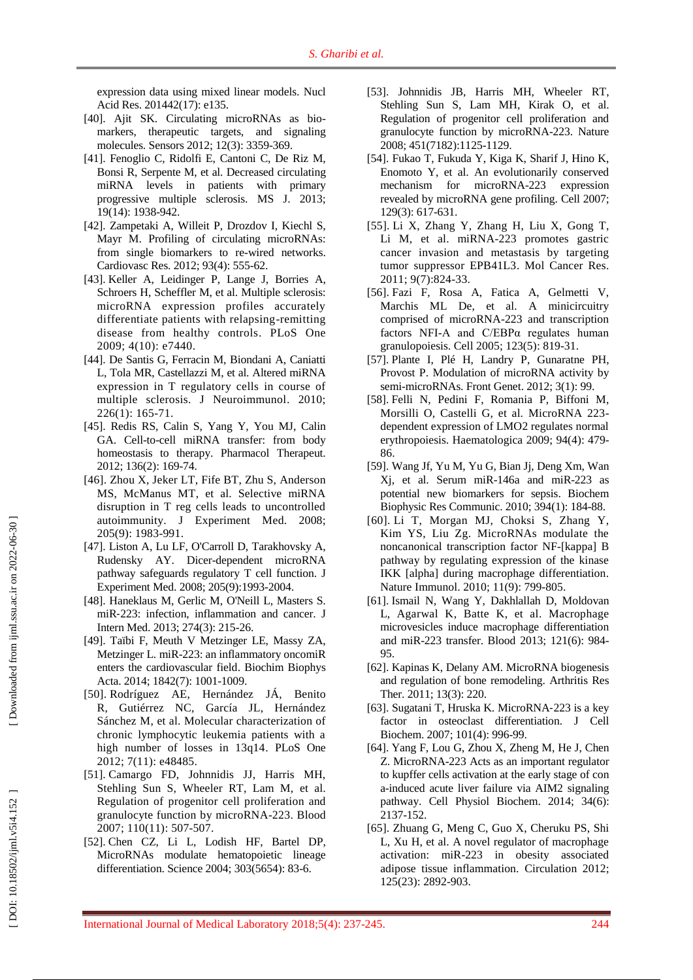expression data using mixed linear models . Nucl Acid Res . 201442(17) : e135.

- [40] . Ajit SK . Circulating microRNAs as bio markers, therapeutic targets, and signaling molecules . Sensors 201 2; 12(3) : 3359 -369.
- [41] . Fenoglio C, Ridolfi E, Cantoni C, De Riz M, Bonsi R, Serpente M, et al. Decreased circulating miRNA levels in patients with primary progressive multiple sclerosis . MS J . 2013; 19(14): 1938 -942.
- [42] . Zampetaki A, Willeit P, Drozdo v I, Kiechl S, Mayr M . Profiling of circulating microRNAs: from single biomarkers to re -wired networks . Cardiovasc Res. 2012; 93(4): 555-62.
- [43 ] . Keller A, Leidinger P, Lange J, Borries A, Schroers H, Scheffler M, et al. Multiple sclerosis: microRNA expression profiles accurately differentiate patients with relapsing -remitting disease from healthy controls . P LoS One 2009; 4(10) : e7440.
- [44] . De Santis G, Ferracin M, Biondani A, Caniatti L, Tola MR, Castellazzi M, et al. Altered miRNA expression in T regulatory cells in course of multiple sclerosis . J Neuroimmunol . 2010; 226(1) : 165 -71.
- [45] . Redis RS, Calin S, Yang Y, You MJ, Calin GA . Cell -to -cell miRNA transfer: from body homeostasis to therapy . Pharmacol Therapeut . 2012; 136(2) : 169 -74.
- [46] . Zhou X, Jeker LT, Fife BT, Zhu S, Anderson MS, McManus MT, et al. Selective miRNA disruption in T reg cells leads to uncontrolled autoimmunity . J Experiment Med . 2008; 205(9) : 1983 -991.
- [47] . Liston A, Lu LF, O'Carroll D, Tarakhovsky A, Rudensky AY . Dicer -dependent microRNA pathway safeguards regulatory T cell function . J Experiment Med . 2008; 205(9) :1993 -2004.
- [48] . Haneklaus M, Gerlic M, O'Neill L, Masters S . miR ‐223: infection, inflammation and cancer . J Intern Med . 2013; 274(3): 215 -26.
- [49] . Taïbi F, Meuth V Metzinger L E, Massy ZA, Metzinger L . miR -223: an inflammatory oncomiR enters the cardiovascular field . [Biochim Biophys](https://www.ncbi.nlm.nih.gov/pubmed/?term=miR-223%3A+an+inflammatory+oncomiR+enters+the+cardiovascular+field.)  [Acta.](https://www.ncbi.nlm.nih.gov/pubmed/?term=miR-223%3A+an+inflammatory+oncomiR+enters+the+cardiovascular+field.) 2014; 1842(7): 1001-1009.
- [50] . Rodríguez AE, Hernández JÁ, Benito R, Gutiérrez NC, García JL, Hernández Sánchez M, et al. Molecular characterization of chronic lymphocytic leukemia patients with a high number of losses in 13q14 . P LoS One 2012; 7(11) : e48485.
- [51] . Camargo FD, Johnnidis JJ, Harris MH, Stehling Sun S, Wheeler RT, Lam M, et al. Regulation of progenitor cell proliferation and granulocyte function by microRNA -223 . Blood 2007; 110(11) : 507 -507 .
- [52] . Chen CZ, Li L, Lodish HF, Bartel DP, MicroRNAs modulate hematopoietic lineage differentiation . Science 2004; 303(5654) : 83 -6.
- [53] . Johnnidis JB, Harris MH, Wheeler RT, Stehling Sun S, Lam MH, Kirak O, et al. Regulation of progenitor cell proliferation and granulocyte function by microRNA -223 . Nature 2008; 451(7182) :1125 -1129.
- [54] . Fukao T, Fukuda Y, Kiga K, Sharif J, Hino K, Enomoto Y, et al. An evolutionarily conserved mechanism for microRNA -223 expression revealed by microRNA gene profiling . Cell 2007; 129(3) : 617 -631.
- [55] . Li X, Zhang Y, Zhang H, Liu X, Gong T, Li M, et al. miRNA -223 promotes gastric cancer invasion and metastasis by targeting tumor suppressor EPB41L3 . Mol Cancer Res . 2011; 9(7) :824 -33.
- [56] . Fazi F, Rosa A, Fatica A, Gelmetti V, Marchis ML De, et al. A minicircuitry comprised of microRNA -223 and transcription factors NFI -A and C/EBPα regulates human granulopoiesis . Cell 2005; 123(5) : 819 -31.
- [57] . Plante I, Plé H, Landry P, Gunaratne PH, Provost P . Modulation of microRNA activity by semi-microRNAs. Front Genet. 2012; 3(1): 99.
- [58] . Felli N, Pedini F, Romania P, Biffoni M, Morsilli O, Castelli G, et al. MicroRNA 223 dependent expression of LMO2 regulates normal erythropoiesis. Haematologica 2009; 94(4): 479 - 86.
- [59] . Wang Jf, Yu M, Yu G, Bian Jj, Deng Xm, Wan Xj, et al. Serum miR -146a and miR -223 as potential new biomarkers for sepsis . Biochem Biophysic Res Communic . 2010; 394(1): 184 -88.
- [60] . Li T, Morgan MJ, Choksi S, Zhang Y, Kim YS, Liu Zg. MicroRNAs modulate the noncanonical transcription factor N F -[kappa] B pathway by regulating expression of the kinase IKK [alpha] during macrophage differentiation . Nature Immunol. 2010; 11(9): 799-805.
- [61] . Ismail N, Wang Y, Dakhlallah D, Moldovan L, Agarwal K, Batte K, et al. Macrophage microvesicles induce macrophage differentiation and miR -223 transfer . Blood 2013; 121(6) : 984 - 95.
- [62] . Kapinas K, Delany AM . MicroRNA biogenesis and regulation of bone remodeling . Arthritis Res Ther . 2011; 13(3) : 220.
- [63] . Sugatani T, Hruska K . MicroRNA ‐223 is a key factor in osteoclast differentiation . J Cell Biochem . 2007; 101(4): 996 -99.
- [64] . Yang F, Lou G, Zhou X, Zheng M, He J, Chen Z . MicroRNA -223 Acts as an important regulator to kupffer cells activation at the early stage of con a-induced acute liver failure via AIM2 signaling pathway . Cell Physiol Biochem . 2014; 34(6): 2137 -152.
- [65] . Zhuang G, Meng C, Guo X, Cheruku PS, Shi L, Xu H, et al. A novel regulator of macrophage activation: miR -223 in obesity associated adipose tissue inflammation . Circulation 2012; 125(23): 2892 -903.